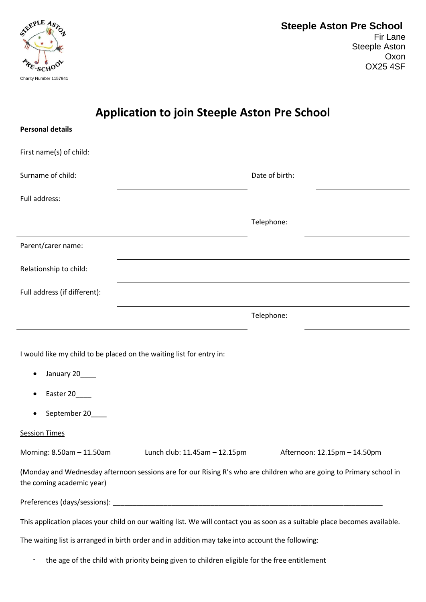

## **Application to join Steeple Aston Pre School**

| <b>Personal details</b>                                                                                                                                                                                                        |                                                                      |                                                                                                                     |  |
|--------------------------------------------------------------------------------------------------------------------------------------------------------------------------------------------------------------------------------|----------------------------------------------------------------------|---------------------------------------------------------------------------------------------------------------------|--|
| First name(s) of child:                                                                                                                                                                                                        |                                                                      |                                                                                                                     |  |
| Surname of child:                                                                                                                                                                                                              |                                                                      | Date of birth:                                                                                                      |  |
| Full address:                                                                                                                                                                                                                  |                                                                      |                                                                                                                     |  |
|                                                                                                                                                                                                                                |                                                                      | Telephone:                                                                                                          |  |
| Parent/carer name:                                                                                                                                                                                                             |                                                                      |                                                                                                                     |  |
| Relationship to child:                                                                                                                                                                                                         |                                                                      |                                                                                                                     |  |
| Full address (if different):                                                                                                                                                                                                   |                                                                      |                                                                                                                     |  |
|                                                                                                                                                                                                                                |                                                                      | Telephone:                                                                                                          |  |
| January 20____<br>Easter 20                                                                                                                                                                                                    | I would like my child to be placed on the waiting list for entry in: |                                                                                                                     |  |
| September 20                                                                                                                                                                                                                   |                                                                      |                                                                                                                     |  |
| <b>Session Times</b>                                                                                                                                                                                                           |                                                                      |                                                                                                                     |  |
| Morning: 8.50am - 11.50am                                                                                                                                                                                                      | Lunch club: 11.45am – 12.15pm                                        | Afternoon: 12.15pm - 14.50pm                                                                                        |  |
| the coming academic year)                                                                                                                                                                                                      |                                                                      | (Monday and Wednesday afternoon sessions are for our Rising R's who are children who are going to Primary school in |  |
|                                                                                                                                                                                                                                |                                                                      |                                                                                                                     |  |
| This application places your child on our waiting list. We will contact you as soon as a suitable place becomes available.<br>The waiting list is arranged in birth order and in addition may take into account the following: |                                                                      |                                                                                                                     |  |
|                                                                                                                                                                                                                                |                                                                      |                                                                                                                     |  |

- the age of the child with priority being given to children eligible for the free entitlement